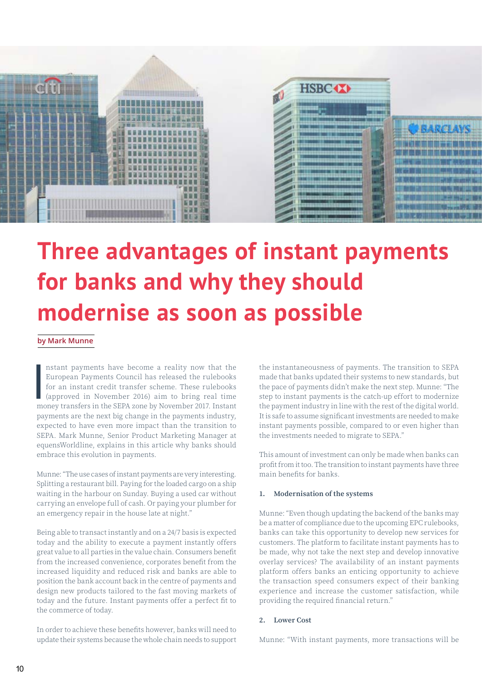

# **Three advantages of instant payments for banks and why they should modernise as soon as possible**

### **by Mark Munne**

**I**<br>I nstant payments have become a reality now that the European Payments Council has released the rulebooks for an instant credit transfer scheme. These rulebooks (approved in November 2016) aim to bring real time money transfers in the SEPA zone by November 2017. Instant payments are the next big change in the payments industry, expected to have even more impact than the transition to SEPA. Mark Munne, Senior Product Marketing Manager at equensWorldline, explains in this article why banks should embrace this evolution in payments.

Munne: "The use cases of instant payments are very interesting. Splitting a restaurant bill. Paying for the loaded cargo on a ship waiting in the harbour on Sunday. Buying a used car without carrying an envelope full of cash. Or paying your plumber for an emergency repair in the house late at night."

Being able to transact instantly and on a 24/7 basis is expected today and the ability to execute a payment instantly offers great value to all parties in the value chain. Consumers benefit from the increased convenience, corporates benefit from the increased liquidity and reduced risk and banks are able to position the bank account back in the centre of payments and design new products tailored to the fast moving markets of today and the future. Instant payments offer a perfect fit to the commerce of today.

In order to achieve these benefits however, banks will need to update their systems because the whole chain needs to support the instantaneousness of payments. The transition to SEPA made that banks updated their systems to new standards, but the pace of payments didn't make the next step. Munne: "The step to instant payments is the catch-up effort to modernize the payment industry in line with the rest of the digital world. It is safe to assume significant investments are needed to make instant payments possible, compared to or even higher than the investments needed to migrate to SEPA."

This amount of investment can only be made when banks can profit from it too. The transition to instant payments have three main benefits for banks.

## **1. Modernisation of the systems**

Munne: "Even though updating the backend of the banks may be a matter of compliance due to the upcoming EPC rulebooks, banks can take this opportunity to develop new services for customers. The platform to facilitate instant payments has to be made, why not take the next step and develop innovative overlay services? The availability of an instant payments platform offers banks an enticing opportunity to achieve the transaction speed consumers expect of their banking experience and increase the customer satisfaction, while providing the required financial return."

#### **2. Lower Cost**

Munne: "With instant payments, more transactions will be